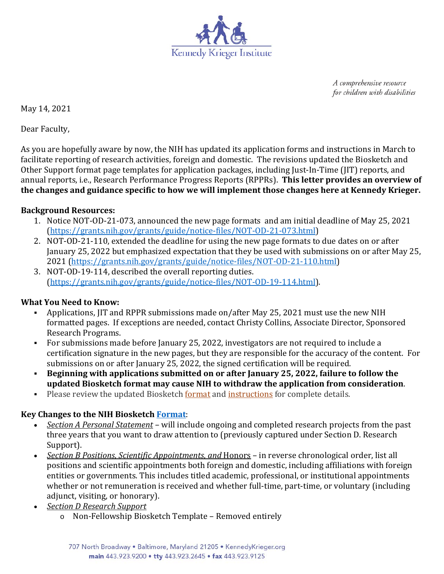

A comprehensive resource for children with disabilities

May 14, 2021

Dear Faculty,

As you are hopefully aware by now, the NIH has updated its application forms and instructions in March to facilitate reporting of research activities, foreign and domestic. The revisions updated the Biosketch and Other Support format page templates for application packages, including Just-In-Time (JIT) reports, and annual reports, i.e., Research Performance Progress Reports (RPPRs). **This letter provides an overview of the changes and guidance specific to how we will implement those changes here at Kennedy Krieger.** 

## **Background Resources:**

- 1. Notice NOT-OD-21-073, announced the new page formats and am initial deadline of May 25, 2021 (https://grants.nih.gov/grants/guide/notice-files/NOT-OD-21-073.html)
- 2. NOT-OD-21-110, extended the deadline for using the new page formats to due dates on or after January 25, 2022 but emphasized expectation that they be used with submissions on or after May 25, 2021 (https://grants.nih.gov/grants/guide/notice-files/NOT-OD-21-110.html)
- 3. NOT-OD-19-114, described the overall reporting duties. (https://grants.nih.gov/grants/guide/notice-files/NOT-OD-19-114.html).

## **What You Need to Know:**

- Applications, JIT and RPPR submissions made on/after May 25, 2021 must use the new NIH formatted pages. If exceptions are needed, contact Christy Collins, Associate Director, Sponsored Research Programs.
- For submissions made before January 25, 2022, investigators are not required to include a certification signature in the new pages, but they are responsible for the accuracy of the content. For submissions on or after January 25, 2022, the signed certification will be required.
- **Beginning with applications submitted on or after January 25, 2022, failure to follow the updated Biosketch format may cause NIH to withdraw the application from consideration**.
- Please review the updated Biosketch format and instructions for complete details.

## **Key Changes to the NIH Biosketch Format**:

- *Section A Personal Statement* will include ongoing and completed research projects from the past three years that you want to draw attention to (previously captured under Section D. Research Support).
- *Section B Positions, Scientific Appointments, and* Honors in reverse chronological order, list all positions and scientific appointments both foreign and domestic, including affiliations with foreign entities or governments. This includes titled academic, professional, or institutional appointments whether or not remuneration is received and whether full-time, part-time, or voluntary (including adjunct, visiting, or honorary).
- *Section D Research Support*
	- o Non-Fellowship Biosketch Template Removed entirely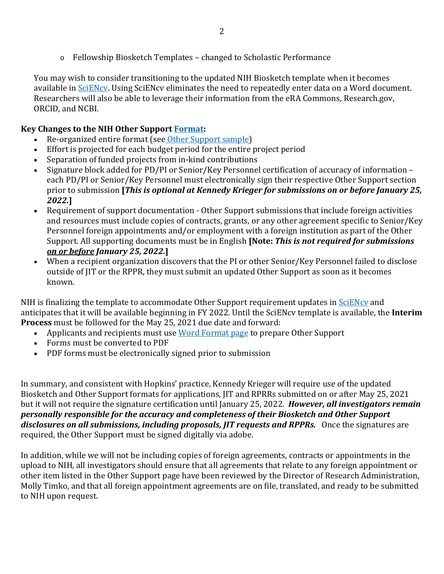$\circ$  Fellowship Biosketch Templates – changed to Scholastic Performance

You may wish to consider transitioning to the updated NIH Biosketch template when it becomes available in SciENcv. Using SciENcv eliminates the need to repeatedly enter data on a Word document. Researchers will also be able to leverage their information from the eRA Commons, Research.gov, ORCID, and NCBI.

# **Key Changes to the NIH Other Support Format:**

- Re-organized entire format (see Other Support sample)
- Effort is projected for each budget period for the entire project period
- Separation of funded projects from in-kind contributions
- Signature block added for PD/PI or Senior/Key Personnel certification of accuracy of information each PD/PI or Senior/Key Personnel must electronically sign their respective Other Support section prior to submission **[***This is optional at Kennedy Krieger for submissions on or before January 25, 2022.***]**
- Requirement of support documentation Other Support submissions that include foreign activities and resources must include copies of contracts, grants, or any other agreement specific to Senior/Key Personnel foreign appointments and/or employment with a foreign institution as part of the Other Support. All supporting documents must be in English **[Note:** *This is not required for submissions on or before January 25, 2022.***]**
- When a recipient organization discovers that the PI or other Senior/Key Personnel failed to disclose outside of JIT or the RPPR, they must submit an updated Other Support as soon as it becomes known.

NIH is finalizing the template to accommodate Other Support requirement updates in SciENcy and anticipates that it will be available beginning in FY 2022. Until the SciENcv template is available, the **Interim Process** must be followed for the May 25, 2021 due date and forward:

- Applicants and recipients must use Word Format page to prepare Other Support
- Forms must be converted to PDF
- PDF forms must be electronically signed prior to submission

In summary, and consistent with Hopkins' practice, Kennedy Krieger will require use of the updated Biosketch and Other Support formats for applications, JIT and RPRRs submitted on or after May 25, 2021 but it will not require the signature certification until January 25, 2022. *However, all investigators remain personally responsible for the accuracy and completeness of their Biosketch and Other Support disclosures on all submissions, including proposals, JIT requests and RPPRs.* Once the signatures are required, the Other Support must be signed digitally via adobe.

In addition, while we will not be including copies of foreign agreements, contracts or appointments in the upload to NIH, all investigators should ensure that all agreements that relate to any foreign appointment or other item listed in the Other Support page have been reviewed by the Director of Research Administration, Molly Timko, and that all foreign appointment agreements are on file, translated, and ready to be submitted to NIH upon request.